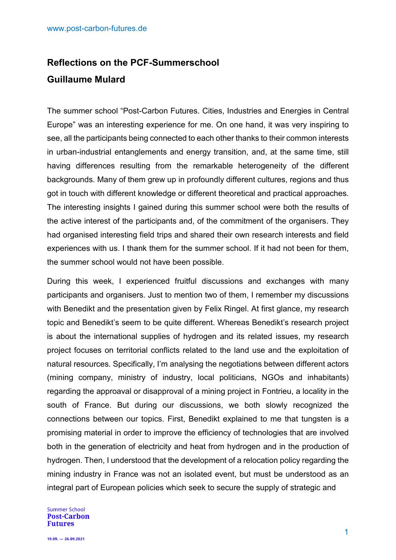## **Reflections on the PCF-Summerschool Guillaume Mulard**

The summer school "Post-Carbon Futures. Cities, Industries and Energies in Central Europe" was an interesting experience for me. On one hand, it was very inspiring to see, all the participants being connected to each other thanks to their common interests in urban-industrial entanglements and energy transition, and, at the same time, still having differences resulting from the remarkable heterogeneity of the different backgrounds. Many of them grew up in profoundly different cultures, regions and thus got in touch with different knowledge or different theoretical and practical approaches. The interesting insights I gained during this summer school were both the results of the active interest of the participants and, of the commitment of the organisers. They had organised interesting field trips and shared their own research interests and field experiences with us. I thank them for the summer school. If it had not been for them, the summer school would not have been possible.

During this week, I experienced fruitful discussions and exchanges with many participants and organisers. Just to mention two of them, I remember my discussions with Benedikt and the presentation given by Felix Ringel. At first glance, my research topic and Benedikt's seem to be quite different. Whereas Benedikt's research project is about the international supplies of hydrogen and its related issues, my research project focuses on territorial conflicts related to the land use and the exploitation of natural resources. Specifically, I'm analysing the negotiations between different actors (mining company, ministry of industry, local politicians, NGOs and inhabitants) regarding the approaval or disapproval of a mining project in Fontrieu, a locality in the south of France. But during our discussions, we both slowly recognized the connections between our topics. First, Benedikt explained to me that tungsten is a promising material in order to improve the efficiency of technologies that are involved both in the generation of electricity and heat from hydrogen and in the production of hydrogen. Then, I understood that the development of a relocation policy regarding the mining industry in France was not an isolated event, but must be understood as an integral part of European policies which seek to secure the supply of strategic and

**Summer School Post-Carbon Futures**